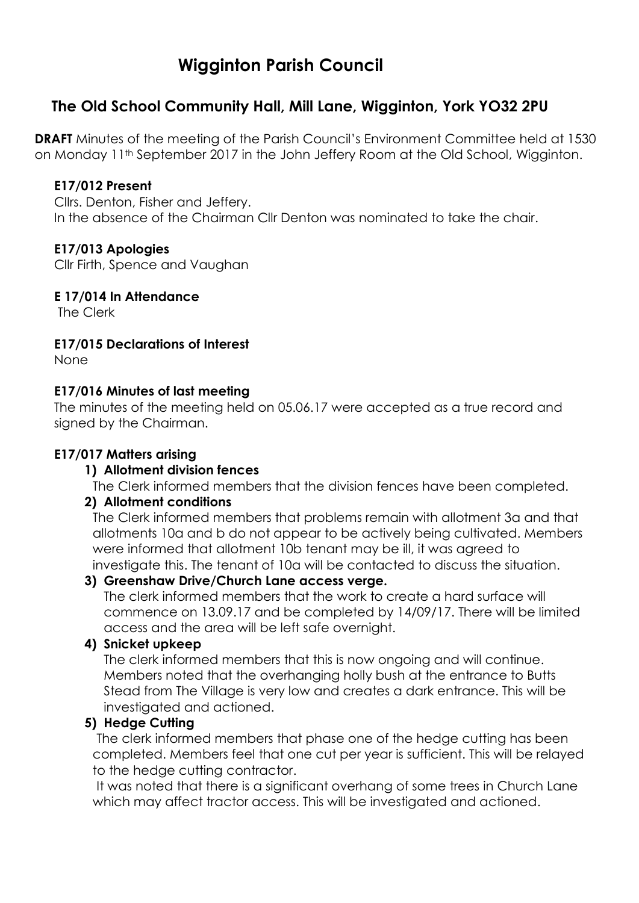# **Wigginton Parish Council**

## **The Old School Community Hall, Mill Lane, Wigginton, York YO32 2PU**

**DRAFT** Minutes of the meeting of the Parish Council's Environment Committee held at 1530 on Monday 11th September 2017 in the John Jeffery Room at the Old School, Wigginton.

#### **E17/012 Present**

Cllrs. Denton, Fisher and Jeffery. In the absence of the Chairman Cllr Denton was nominated to take the chair.

#### **E17/013 Apologies**

Cllr Firth, Spence and Vaughan

**E 17/014 In Attendance**

The Clerk

#### **E17/015 Declarations of Interest**

None

#### **E17/016 Minutes of last meeting**

The minutes of the meeting held on 05.06.17 were accepted as a true record and signed by the Chairman.

### **E17/017 Matters arising**

#### **1) Allotment division fences**

The Clerk informed members that the division fences have been completed.

#### **2) Allotment conditions**

The Clerk informed members that problems remain with allotment 3a and that allotments 10a and b do not appear to be actively being cultivated. Members were informed that allotment 10b tenant may be ill, it was agreed to investigate this. The tenant of 10a will be contacted to discuss the situation.

#### **3) Greenshaw Drive/Church Lane access verge.**

The clerk informed members that the work to create a hard surface will commence on 13.09.17 and be completed by 14/09/17. There will be limited access and the area will be left safe overnight.

#### **4) Snicket upkeep**

The clerk informed members that this is now ongoing and will continue. Members noted that the overhanging holly bush at the entrance to Butts Stead from The Village is very low and creates a dark entrance. This will be investigated and actioned.

#### **5) Hedge Cutting**

The clerk informed members that phase one of the hedge cutting has been completed. Members feel that one cut per year is sufficient. This will be relayed to the hedge cutting contractor.

It was noted that there is a significant overhang of some trees in Church Lane which may affect tractor access. This will be investigated and actioned.